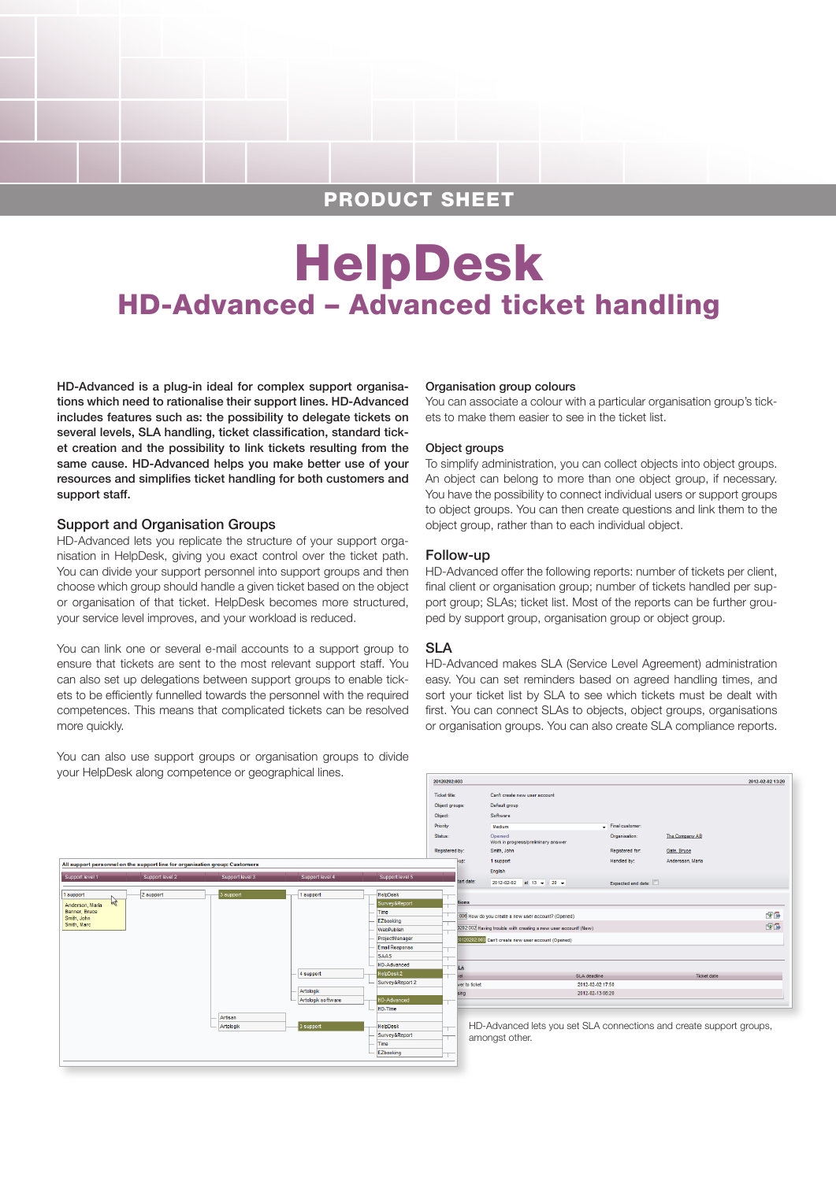# PRODUCT SHEET

# HelpDesk HD-Advanced – Advanced ticket handling

HD-Advanced is a plug-in ideal for complex support organisations which need to rationalise their support lines. HD-Advanced includes features such as: the possibility to delegate tickets on several levels, SLA handling, ticket classification, standard ticket creation and the possibility to link tickets resulting from the same cause. HD-Advanced helps you make better use of your resources and simplifies ticket handling for both customers and support staff.

#### Support and Organisation Groups

HD-Advanced lets you replicate the structure of your support organisation in HelpDesk, giving you exact control over the ticket path. You can divide your support personnel into support groups and then choose which group should handle a given ticket based on the object or organisation of that ticket. HelpDesk becomes more structured, your service level improves, and your workload is reduced.

You can link one or several e-mail accounts to a support group to ensure that tickets are sent to the most relevant support staff. You can also set up delegations between support groups to enable tickets to be efficiently funnelled towards the personnel with the required competences. This means that complicated tickets can be resolved more quickly.

You can also use support groups or organisation groups to divide your HelpDesk along competence or geographical lines.

#### Organisation group colours

You can associate a colour with a particular organisation group's tickets to make them easier to see in the ticket list.

#### Object groups

To simplify administration, you can collect objects into object groups. An object can belong to more than one object group, if necessary. You have the possibility to connect individual users or support groups to object groups. You can then create questions and link them to the object group, rather than to each individual object.

#### Follow-up

HD-Advanced offer the following reports: number of tickets per client, final client or organisation group; number of tickets handled per support group; SLAs; ticket list. Most of the reports can be further grouped by support group, organisation group or object group.

#### SLA

HD-Advanced makes SLA (Service Level Agreement) administration easy. You can set reminders based on agreed handling times, and sort your ticket list by SLA to see which tickets must be dealt with first. You can connect SLAs to objects, object groups, organisations or organisation groups. You can also create SLA compliance reports.